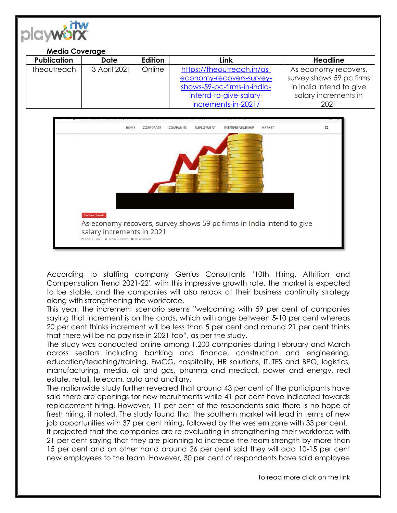| <b>PICIWORX</b> |                       |               |         |                             |                          |
|-----------------|-----------------------|---------------|---------|-----------------------------|--------------------------|
|                 | <b>Media Coverage</b> |               |         |                             |                          |
|                 | <b>Publication</b>    | <b>Date</b>   | Edition | Link                        | <b>Headline</b>          |
|                 | <b>Theoutreach</b>    | 13 April 2021 | Online  | https://theoutreach.in/as-  | As economy recovers,     |
|                 |                       |               |         | economy-recovers-survey-    | survey shows 59 pc firms |
|                 |                       |               |         | shows-59-pc-firms-in-india- | in India intend to give  |
|                 |                       |               |         | intend-to-give-salary-      | salary increments in     |
|                 |                       |               |         | increments-in-2021/         | 2021                     |

 $\cdot$ iTW



According to staffing company Genius Consultants '10th Hiring, Attrition and Compensation Trend 2021-22′, with this impressive growth rate, the market is expected to be stable, and the companies will also relook at their business continuity strategy along with strengthening the workforce.

This year, the increment scenario seems "welcoming with 59 per cent of companies saying that increment is on the cards, which will range between 5-10 per cent whereas 20 per cent thinks increment will be less than 5 per cent and around 21 per cent thinks that there will be no pay rise in 2021 too", as per the study.

The study was conducted online among 1,200 companies during February and March across sectors including banking and finance, construction and engineering, education/teaching/training, FMCG, hospitality, HR solutions, IT,ITES and BPO, logistics, manufacturing, media, oil and gas, pharma and medical, power and energy, real estate, retail, telecom, auto and ancillary.

The nationwide study further revealed that around 43 per cent of the participants have said there are openings for new recruitments while 41 per cent have indicated towards replacement hiring. However, 11 per cent of the respondents said there is no hope of fresh hiring, it noted. The study found that the southern market will lead in terms of new job opportunities with 37 per cent hiring, followed by the western zone with 33 per cent.

It projected that the companies are re-evaluating in strengthening their workforce with 21 per cent saying that they are planning to increase the team strength by more than 15 per cent and on other hand around 26 per cent said they will add 10-15 per cent new employees to the team. However, 30 per cent of respondents have said employee

To read more click on the link